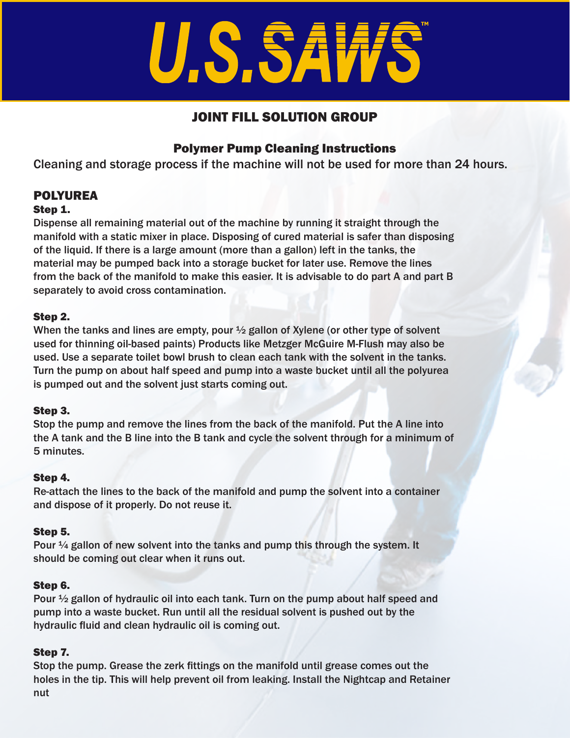# U.S.SAW

## JOINT FILL SOLUTION GROUP

### Polymer Pump Cleaning Instructions

Cleaning and storage process if the machine will not be used for more than 24 hours.

# POLYUREA

#### Step 1.

Dispense all remaining material out of the machine by running it straight through the manifold with a static mixer in place. Disposing of cured material is safer than disposing of the liquid. If there is a large amount (more than a gallon) left in the tanks, the material may be pumped back into a storage bucket for later use. Remove the lines from the back of the manifold to make this easier. It is advisable to do part A and part B separately to avoid cross contamination.

#### Step 2.

When the tanks and lines are empty, pour  $\frac{1}{2}$  gallon of Xylene (or other type of solvent used for thinning oil-based paints) Products like Metzger McGuire M-Flush may also be used. Use a separate toilet bowl brush to clean each tank with the solvent in the tanks. Turn the pump on about half speed and pump into a waste bucket until all the polyurea is pumped out and the solvent just starts coming out.

#### Step 3.

Stop the pump and remove the lines from the back of the manifold. Put the A line into the A tank and the B line into the B tank and cycle the solvent through for a minimum of 5 minutes.

#### Step 4.

Re-attach the lines to the back of the manifold and pump the solvent into a container and dispose of it properly. Do not reuse it.

#### Step 5.

Pour  $\frac{1}{4}$  gallon of new solvent into the tanks and pump this through the system. It should be coming out clear when it runs out.

#### Step 6.

Pour ½ gallon of hydraulic oil into each tank. Turn on the pump about half speed and pump into a waste bucket. Run until all the residual solvent is pushed out by the hydraulic fluid and clean hydraulic oil is coming out.

#### Step 7.

Stop the pump. Grease the zerk fittings on the manifold until grease comes out the holes in the tip. This will help prevent oil from leaking. Install the Nightcap and Retainer nut